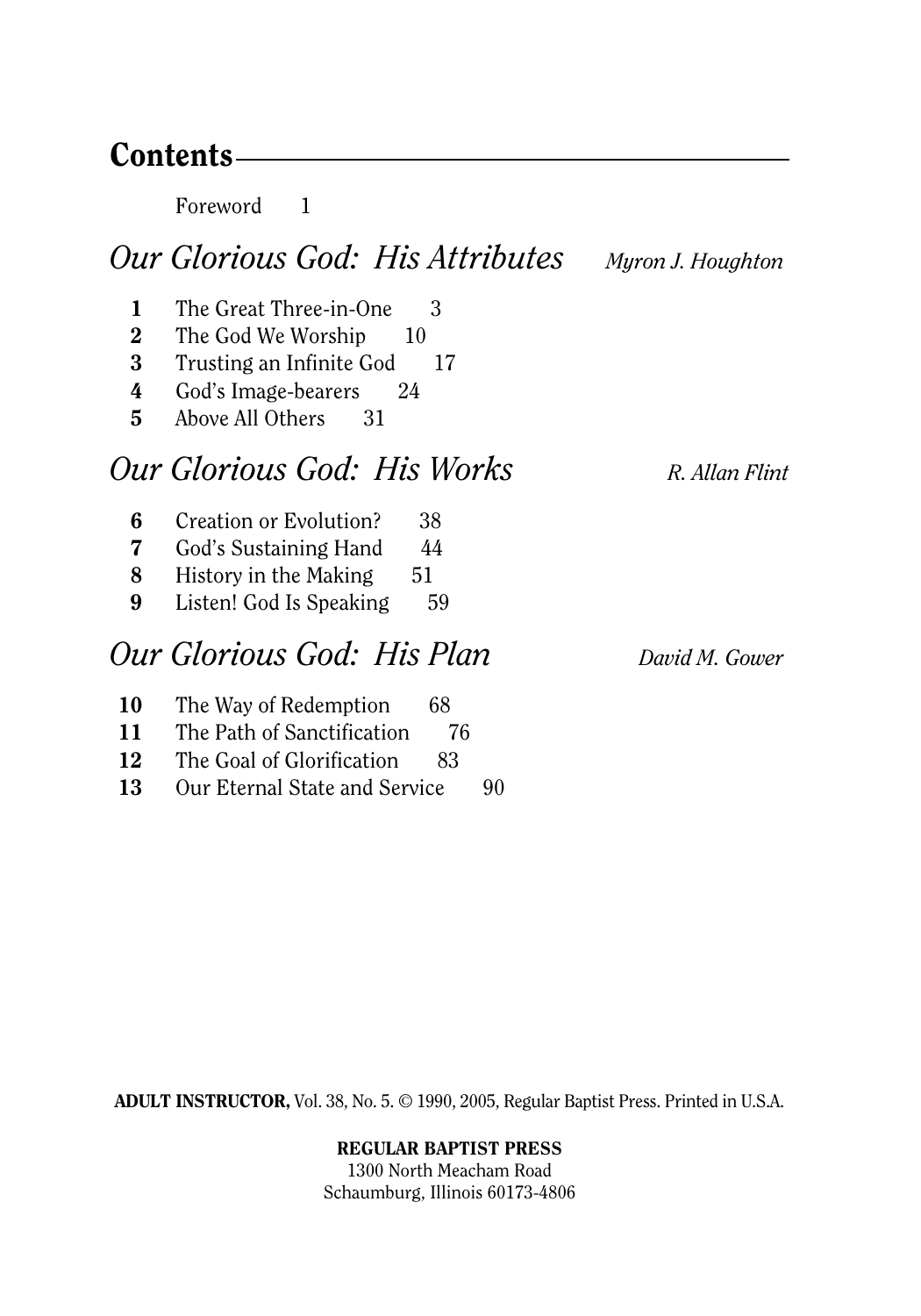# Contents

Foreword 1

# *Our Glorious God: His Attributes Myron J. Houghton*

- 1 The Great Three-in-One 3
- 2 The God We Worship 10
- **3** Trusting an Infinite God 17
- 4 God's Image-bearers 24
- 5 Above All Others 31

# *Our Glorious God: His Works R. Allan Flint*

- 6 Creation or Evolution? 38
- 7 God's Sustaining Hand 44
- 8 History in the Making 51
- 9 Listen! God Is Speaking 59

# *Our Glorious God: His Plan David M. Gower*

- 10 The Way of Redemption 68
- 11 The Path of Sanctification 76
- 12 The Goal of Glorification 83
- 13 Our Eternal State and Service 90

ADULT INSTRUCTOR, Vol. 38, No. 5. © 1990, 2005, Regular Baptist Press. Printed in U.S.A.

### REGULAR BAPTIST PRESS

1300 North Meacham Road Schaumburg, Illinois 60173-4806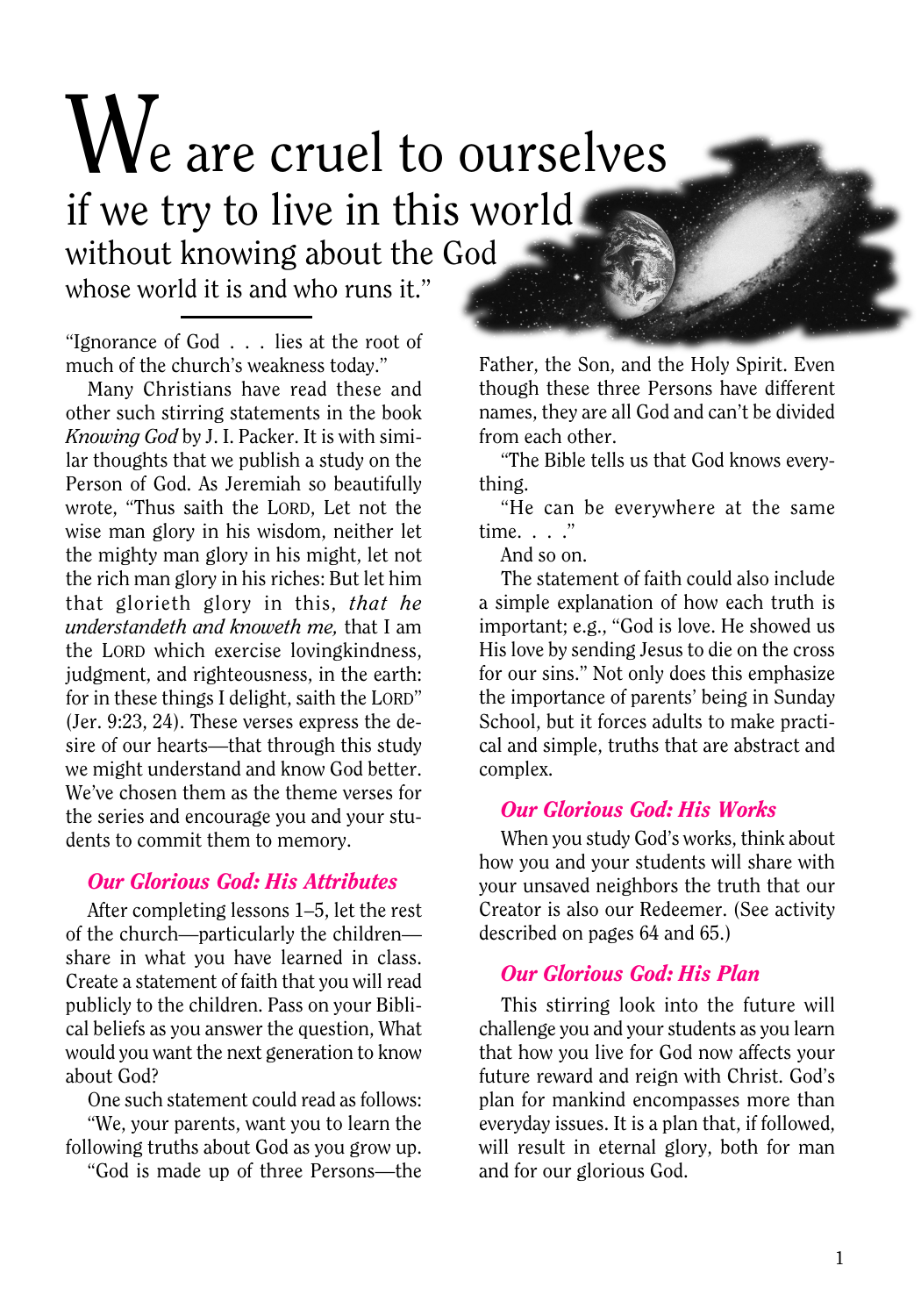We are cruel to ourselves if we try to live in this world without knowing about the God

whose world it is and who runs it."

"Ignorance of God . . . lies at the root of much of the church's weakness today."

Many Christians have read these and other such stirring statements in the book *Knowing God* by J. I. Packer. It is with similar thoughts that we publish a study on the Person of God. As Jeremiah so beautifully wrote, "Thus saith the LORD, Let not the wise man glory in his wisdom, neither let the mighty man glory in his might, let not the rich man glory in his riches: But let him that glorieth glory in this, *that he understandeth and knoweth me,* that I am the LORD which exercise lovingkindness, judgment, and righteousness, in the earth: for in these things I delight, saith the LORD" (Jer. 9:23, 24). These verses express the desire of our hearts—that through this study we might understand and know God better. We've chosen them as the theme verses for the series and encourage you and your students to commit them to memory.

# *Our Glorious God: His Attributes*

After completing lessons 1–5, let the rest of the church—particularly the children share in what you have learned in class. Create a statement of faith that you will read publicly to the children. Pass on your Biblical beliefs as you answer the question, What would you want the next generation to know about God?

One such statement could read as follows: "We, your parents, want you to learn the following truths about God as you grow up.

"God is made up of three Persons—the

Father, the Son, and the Holy Spirit. Even though these three Persons have different names, they are all God and can't be divided from each other.

"The Bible tells us that God knows everything.

"He can be everywhere at the same time. . . ."

And so on.

The statement of faith could also include a simple explanation of how each truth is important; e.g., "God is love. He showed us His love by sending Jesus to die on the cross for our sins." Not only does this emphasize the importance of parents' being in Sunday School, but it forces adults to make practical and simple, truths that are abstract and complex.

# *Our Glorious God: His Works*

When you study God's works, think about how you and your students will share with your unsaved neighbors the truth that our Creator is also our Redeemer. (See activity described on pages 64 and 65.)

# *Our Glorious God: His Plan*

This stirring look into the future will challenge you and your students as you learn that how you live for God now affects your future reward and reign with Christ. God's plan for mankind encompasses more than everyday issues. It is a plan that, if followed, will result in eternal glory, both for man and for our glorious God.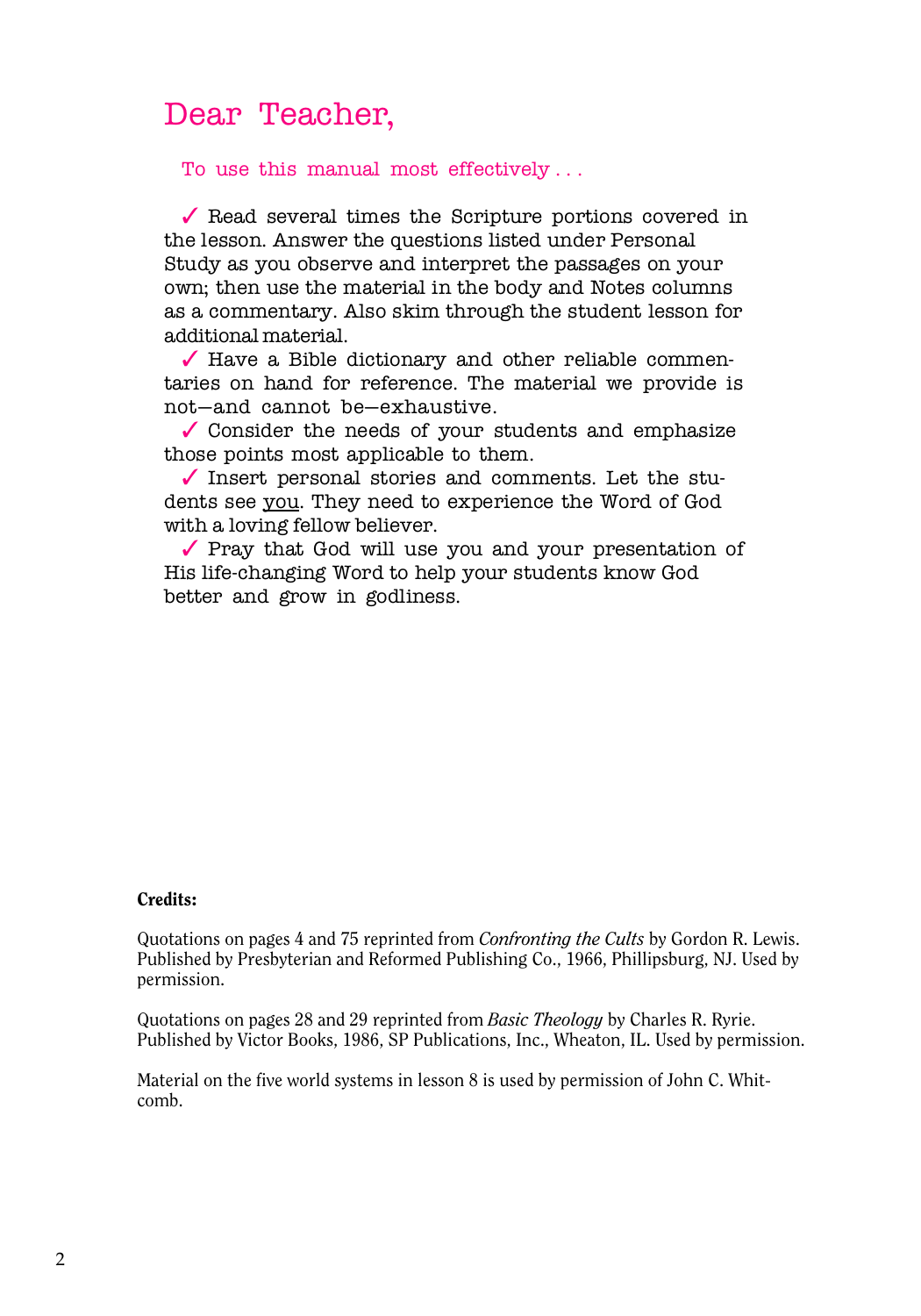# Dear Teacher,

To use this manual most effectively . . .

✓ Read several times the Scripture portions covered in the lesson. Answer the questions listed under Personal Study as you observe and interpret the passages on your own; then use the material in the body and Notes columns as a commentary. Also skim through the student lesson for additional material.

✓ Have a Bible dictionary and other reliable commentaries on hand for reference. The material we provide is not—and cannot be—exhaustive.

 $\sqrt{\frac{1}{\pi}}$  Consider the needs of your students and emphasize those points most applicable to them.

 $\sqrt{\ }$  Insert personal stories and comments. Let the students see you. They need to experience the Word of God with a loving fellow believer.

✓ Pray that God will use you and your presentation of His life-changing Word to help your students know God better and grow in godliness.

### Credits:

Quotations on pages 4 and 75 reprinted from *Confronting the Cults* by Gordon R. Lewis. Published by Presbyterian and Reformed Publishing Co., 1966, Phillipsburg, NJ. Used by permission.

Quotations on pages 28 and 29 reprinted from *Basic Theology* by Charles R. Ryrie. Published by Victor Books, 1986, SP Publications, Inc., Wheaton, IL. Used by permission.

Material on the five world systems in lesson 8 is used by permission of John C. Whitcomb.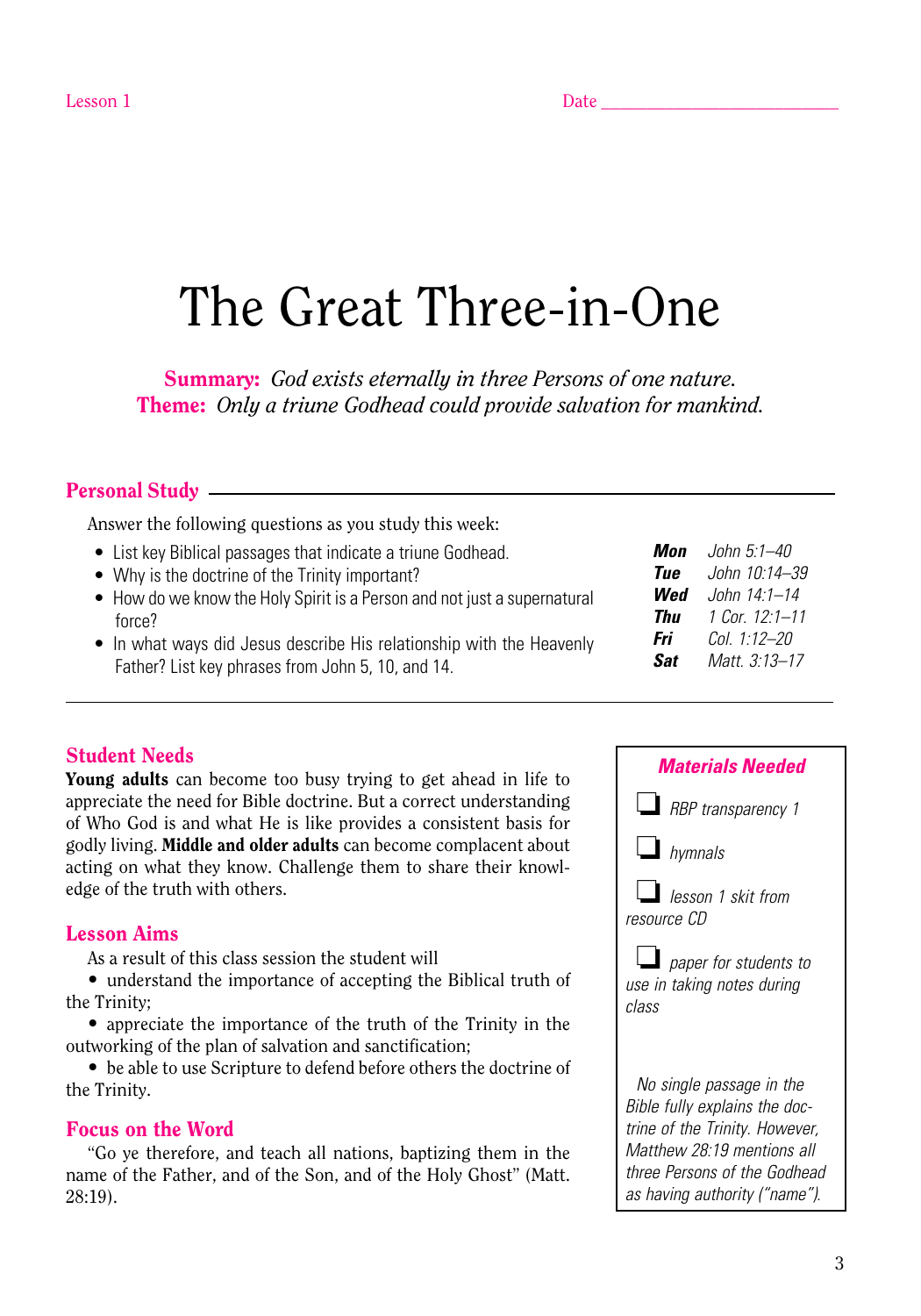# The Great Three-in-One

Summary: *God exists eternally in three Persons of one nature.* Theme: *Only a triune Godhead could provide salvation for mankind.*

# Personal Study

Answer the following questions as you study this week:

- List key Biblical passages that indicate a triune Godhead.
- Why is the doctrine of the Trinity important?
- How do we know the Holy Spirit is a Person and not just a supernatural force?
- In what ways did Jesus describe His relationship with the Heavenly Father? List key phrases from John 5, 10, and 14.

| Mon | John 5:1-40    |
|-----|----------------|
| Tue | John 10:14–39  |
| Wed | John 14:1-14   |
| Thu | 1 Cor. 12:1–11 |
| Fri | Col. 1:12–20   |
| Sat | Matt. 3:13–17  |

# Student Needs

Young adults can become too busy trying to get ahead in life to appreciate the need for Bible doctrine. But a correct understanding of Who God is and what He is like provides a consistent basis for godly living. Middle and older adults can become complacent about acting on what they know. Challenge them to share their knowledge of the truth with others.

# Lesson Aims

As a result of this class session the student will

• understand the importance of accepting the Biblical truth of the Trinity;

• appreciate the importance of the truth of the Trinity in the outworking of the plan of salvation and sanctification;

• be able to use Scripture to defend before others the doctrine of the Trinity.

# Focus on the Word

"Go ye therefore, and teach all nations, baptizing them in the name of the Father, and of the Son, and of the Holy Ghost" (Matt. 28:19).

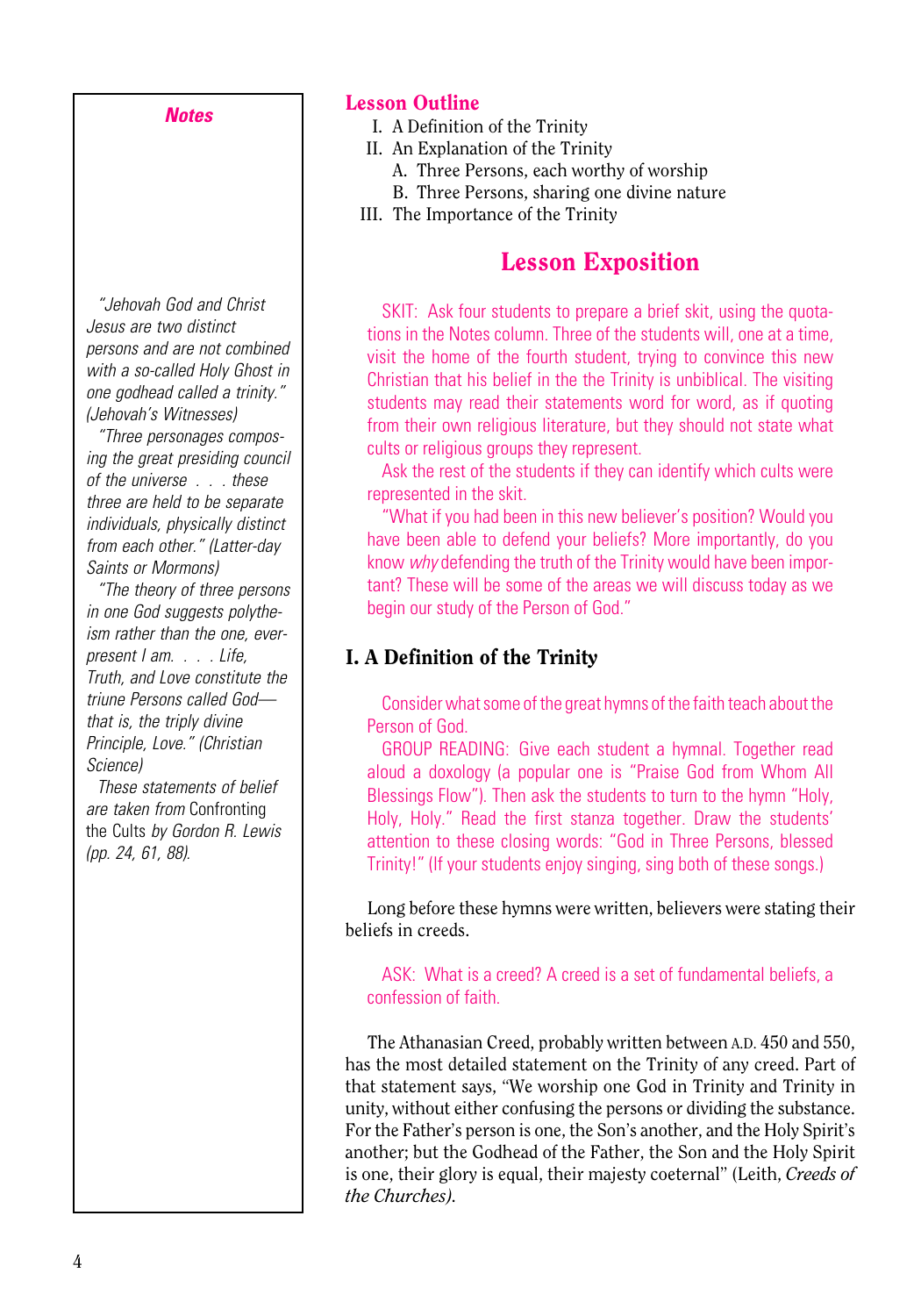"Jehovah God and Christ Jesus are two distinct persons and are not combined with a so-called Holy Ghost in one godhead called a trinity." (Jehovah's Witnesses)

"Three personages composing the great presiding council of the universe . . . these three are held to be separate individuals, physically distinct from each other." (Latter-day Saints or Mormons)

"The theory of three persons in one God suggests polytheism rather than the one, everpresent I am. . . . Life, Truth, and Love constitute the triune Persons called God that is, the triply divine Principle, Love." (Christian **Science**)

These statements of belief are taken from Confronting the Cults by Gordon R. Lewis (pp. 24, 61, 88).

# *Notes* Lesson Outline

- I. A Definition of the Trinity
- II. An Explanation of the Trinity
	- A. Three Persons, each worthy of worship
	- B. Three Persons, sharing one divine nature
- III. The Importance of the Trinity

# Lesson Exposition

SKIT: Ask four students to prepare a brief skit, using the quotations in the Notes column. Three of the students will, one at a time, visit the home of the fourth student, trying to convince this new Christian that his belief in the the Trinity is unbiblical. The visiting students may read their statements word for word, as if quoting from their own religious literature, but they should not state what cults or religious groups they represent.

Ask the rest of the students if they can identify which cults were represented in the skit.

"What if you had been in this new believer's position? Would you have been able to defend your beliefs? More importantly, do you know why defending the truth of the Trinity would have been important? These will be some of the areas we will discuss today as we begin our study of the Person of God."

# I. A Definition of the Trinity

Consider what some of the great hymns of the faith teach about the Person of God.

GROUP READING: Give each student a hymnal. Together read aloud a doxology (a popular one is "Praise God from Whom All Blessings Flow"). Then ask the students to turn to the hymn "Holy, Holy, Holy." Read the first stanza together. Draw the students' attention to these closing words: "God in Three Persons, blessed Trinity!" (If your students enjoy singing, sing both of these songs.)

Long before these hymns were written, believers were stating their beliefs in creeds.

ASK: What is a creed? A creed is a set of fundamental beliefs, a confession of faith.

The Athanasian Creed, probably written between A.D. 450 and 550, has the most detailed statement on the Trinity of any creed. Part of that statement says, "We worship one God in Trinity and Trinity in unity, without either confusing the persons or dividing the substance. For the Father's person is one, the Son's another, and the Holy Spirit's another; but the Godhead of the Father, the Son and the Holy Spirit is one, their glory is equal, their majesty coeternal" (Leith, *Creeds of the Churches).*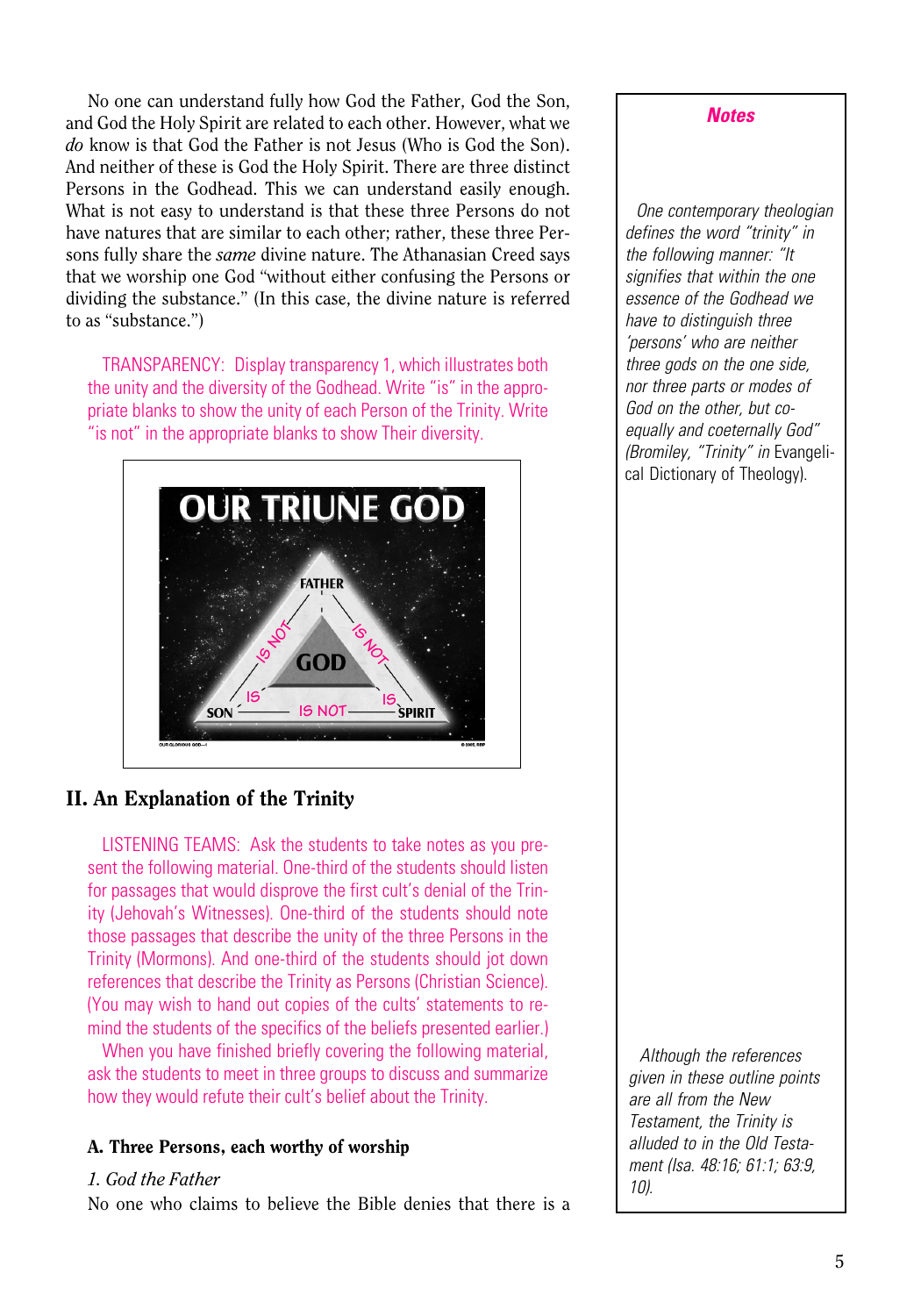No one can understand fully how God the Father, God the Son, and God the Holy Spirit are related to each other. However, what we *do* know is that God the Father is not Jesus (Who is God the Son). And neither of these is God the Holy Spirit. There are three distinct Persons in the Godhead. This we can understand easily enough. What is not easy to understand is that these three Persons do not have natures that are similar to each other; rather, these three Persons fully share the *same* divine nature. The Athanasian Creed says that we worship one God "without either confusing the Persons or dividing the substance." (In this case, the divine nature is referred to as "substance.")

TRANSPARENCY: Display transparency 1, which illustrates both the unity and the diversity of the Godhead. Write "is" in the appropriate blanks to show the unity of each Person of the Trinity. Write "is not" in the appropriate blanks to show Their diversity.



# II. An Explanation of the Trinity

LISTENING TEAMS: Ask the students to take notes as you present the following material. One-third of the students should listen for passages that would disprove the first cult's denial of the Trinity (Jehovah's Witnesses). One-third of the students should note those passages that describe the unity of the three Persons in the Trinity (Mormons). And one-third of the students should jot down references that describe the Trinity as Persons (Christian Science). (You may wish to hand out copies of the cults' statements to remind the students of the specifics of the beliefs presented earlier.)

When you have finished briefly covering the following material, ask the students to meet in three groups to discuss and summarize how they would refute their cult's belief about the Trinity.

# A. Three Persons, each worthy of worship

#### *1. God the Father*

No one who claims to believe the Bible denies that there is a

*Notes*

One contemporary theologian defines the word "trinity" in the following manner: "It signifies that within the one essence of the Godhead we have to distinguish three 'persons' who are neither three gods on the one side, nor three parts or modes of God on the other, but coequally and coeternally God" (Bromiley, "Trinity" in Evangelical Dictionary of Theology).

Although the references given in these outline points are all from the New Testament, the Trinity is alluded to in the Old Testament (Isa. 48:16; 61:1; 63:9, 10).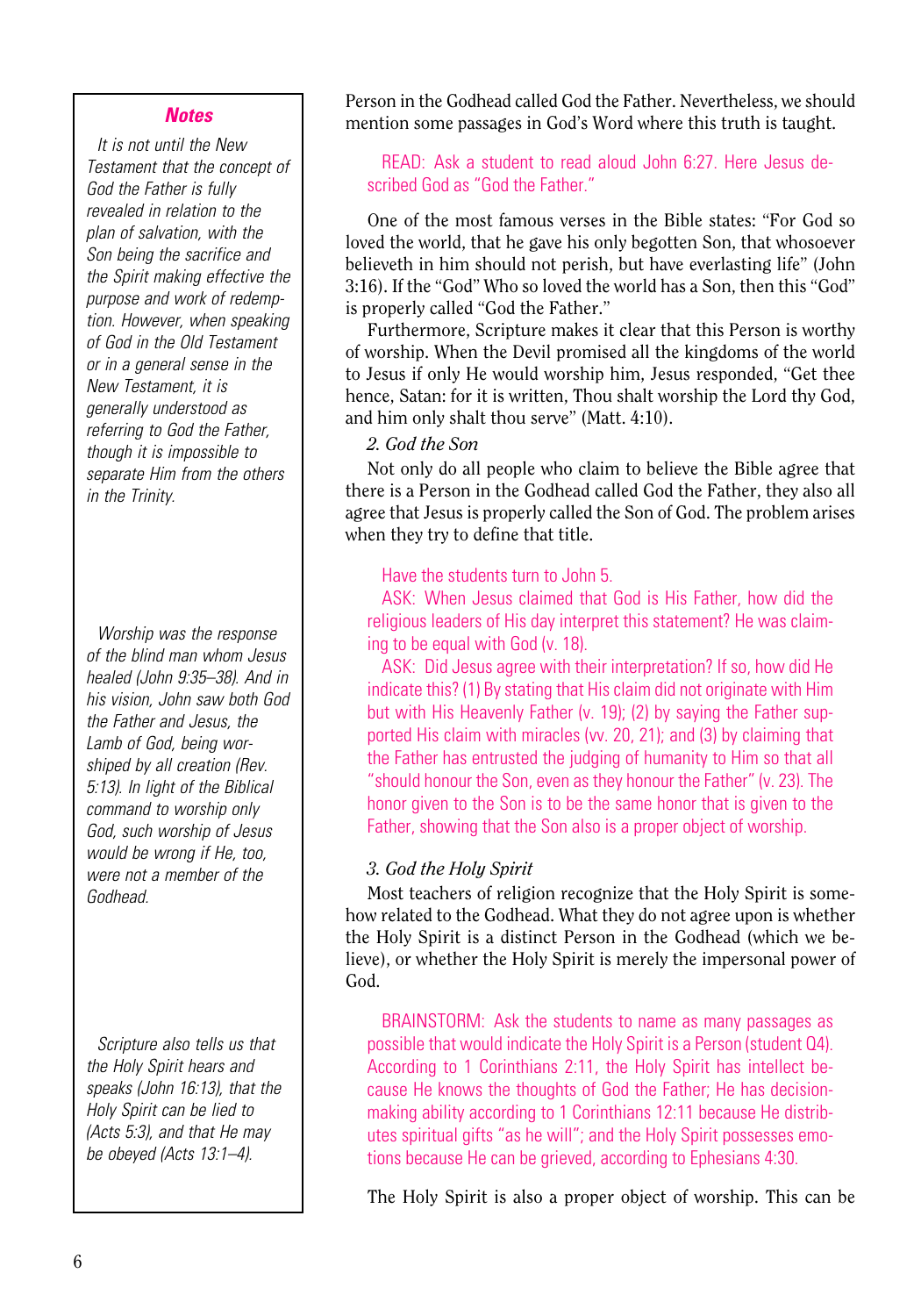It is not until the New Testament that the concept of God the Father is fully revealed in relation to the plan of salvation, with the Son being the sacrifice and the Spirit making effective the purpose and work of redemption. However, when speaking of God in the Old Testament or in a general sense in the New Testament, it is generally understood as referring to God the Father, though it is impossible to separate Him from the others in the Trinity.

Worship was the response of the blind man whom Jesus healed (John 9:35–38). And in his vision, John saw both God the Father and Jesus, the Lamb of God, being worshiped by all creation (Rev. 5:13). In light of the Biblical command to worship only God, such worship of Jesus would be wrong if He, too, were not a member of the Godhead.

Scripture also tells us that the Holy Spirit hears and speaks (John 16:13), that the Holy Spirit can be lied to (Acts 5:3), and that He may be obeyed (Acts 13:1–4).

*Notes* Person in the Godhead called God the Father. Nevertheless, we should mention some passages in God's Word where this truth is taught.

> READ: Ask a student to read aloud John 6:27. Here Jesus described God as "God the Father."

One of the most famous verses in the Bible states: "For God so loved the world, that he gave his only begotten Son, that whosoever believeth in him should not perish, but have everlasting life" (John 3:16). If the "God" Who so loved the world has a Son, then this "God" is properly called "God the Father."

Furthermore, Scripture makes it clear that this Person is worthy of worship. When the Devil promised all the kingdoms of the world to Jesus if only He would worship him, Jesus responded, "Get thee hence, Satan: for it is written, Thou shalt worship the Lord thy God, and him only shalt thou serve" (Matt. 4:10).

# *2. God the Son*

Not only do all people who claim to believe the Bible agree that there is a Person in the Godhead called God the Father, they also all agree that Jesus is properly called the Son of God. The problem arises when they try to define that title.

# Have the students turn to John 5.

ASK: When Jesus claimed that God is His Father, how did the religious leaders of His day interpret this statement? He was claiming to be equal with God (v. 18).

ASK: Did Jesus agree with their interpretation? If so, how did He indicate this? (1) By stating that His claim did not originate with Him but with His Heavenly Father (v. 19); (2) by saying the Father supported His claim with miracles (vv. 20, 21); and (3) by claiming that the Father has entrusted the judging of humanity to Him so that all "should honour the Son, even as they honour the Father" (v. 23). The honor given to the Son is to be the same honor that is given to the Father, showing that the Son also is a proper object of worship.

# *3. God the Holy Spirit*

Most teachers of religion recognize that the Holy Spirit is somehow related to the Godhead. What they do not agree upon is whether the Holy Spirit is a distinct Person in the Godhead (which we believe), or whether the Holy Spirit is merely the impersonal power of God.

BRAINSTORM: Ask the students to name as many passages as possible that would indicate the Holy Spirit is a Person (student Q4). According to 1 Corinthians 2:11, the Holy Spirit has intellect because He knows the thoughts of God the Father; He has decisionmaking ability according to 1 Corinthians 12:11 because He distributes spiritual gifts "as he will"; and the Holy Spirit possesses emotions because He can be grieved, according to Ephesians 4:30.

The Holy Spirit is also a proper object of worship. This can be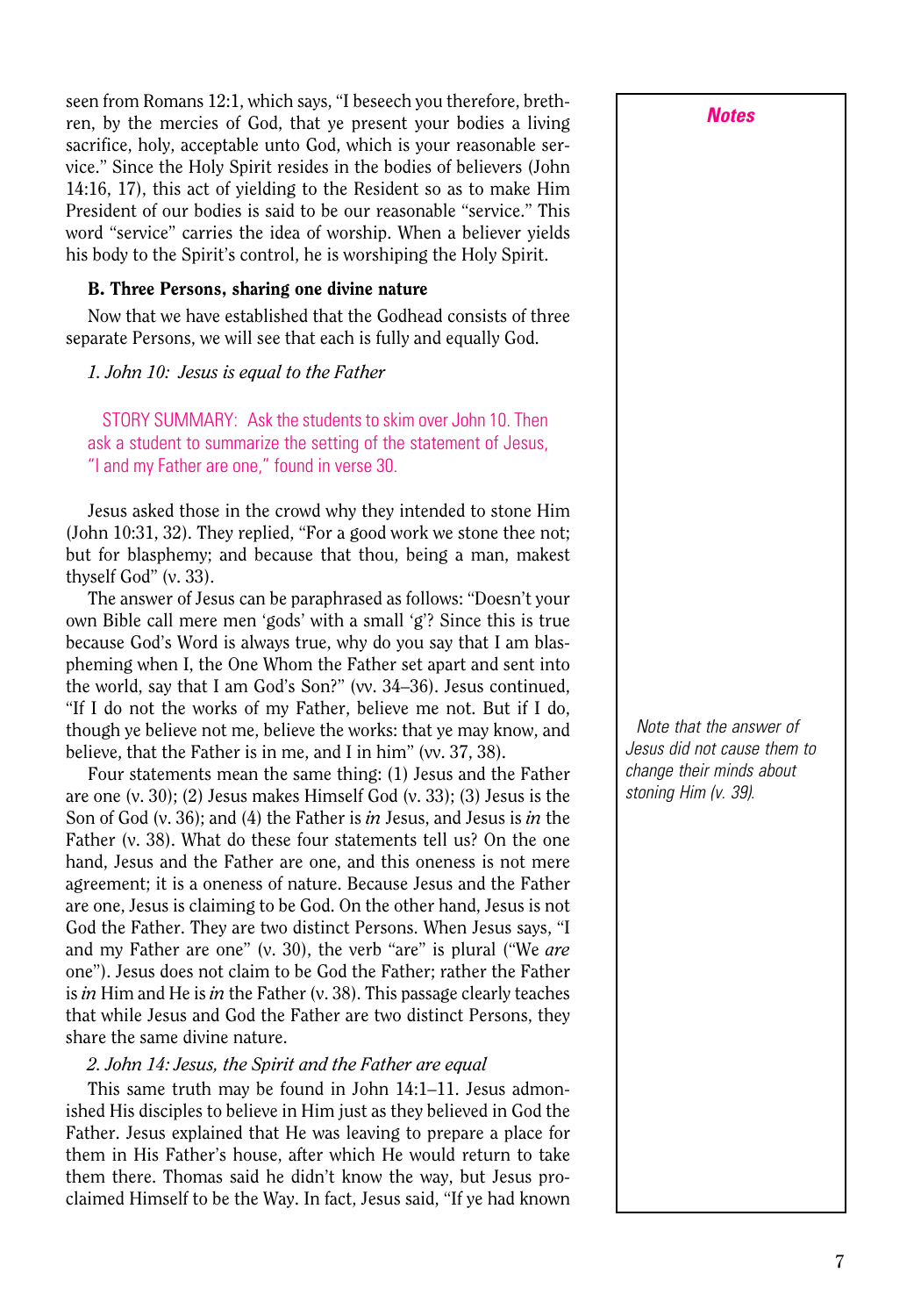**Notes**<br> **Notes**<br> **Notes** ren, by the mercies of God, that ye present your bodies a living sacrifice, holy, acceptable unto God, which is your reasonable service." Since the Holy Spirit resides in the bodies of believers (John 14:16, 17), this act of yielding to the Resident so as to make Him President of our bodies is said to be our reasonable "service." This word "service" carries the idea of worship. When a believer yields his body to the Spirit's control, he is worshiping the Holy Spirit.

#### B. Three Persons, sharing one divine nature

Now that we have established that the Godhead consists of three separate Persons, we will see that each is fully and equally God.

#### *1. John 10: Jesus is equal to the Father*

STORY SUMMARY: Ask the students to skim over John 10. Then ask a student to summarize the setting of the statement of Jesus, "I and my Father are one," found in verse 30.

Jesus asked those in the crowd why they intended to stone Him (John 10:31, 32). They replied, "For a good work we stone thee not; but for blasphemy; and because that thou, being a man, makest thyself God" (v. 33).

The answer of Jesus can be paraphrased as follows: "Doesn't your own Bible call mere men 'gods' with a small 'g'? Since this is true because God's Word is always true, why do you say that I am blaspheming when I, the One Whom the Father set apart and sent into the world, say that I am God's Son?" (vv. 34–36). Jesus continued, "If I do not the works of my Father, believe me not. But if I do, though ye believe not me, believe the works: that ye may know, and believe, that the Father is in me, and I in him" (vv. 37, 38).

Four statements mean the same thing: (1) Jesus and the Father are one (v. 30); (2) Jesus makes Himself God (v. 33); (3) Jesus is the Son of God (v. 36); and (4) the Father is *in* Jesus, and Jesus is *in* the Father (v. 38). What do these four statements tell us? On the one hand, Jesus and the Father are one, and this oneness is not mere agreement; it is a oneness of nature. Because Jesus and the Father are one, Jesus is claiming to be God. On the other hand, Jesus is not God the Father. They are two distinct Persons. When Jesus says, "I and my Father are one" (v. 30), the verb "are" is plural ("We *are* one"). Jesus does not claim to be God the Father; rather the Father is *in* Him and He is *in* the Father (v. 38). This passage clearly teaches that while Jesus and God the Father are two distinct Persons, they share the same divine nature.

### *2. John 14: Jesus, the Spirit and the Father are equal*

This same truth may be found in John 14:1–11. Jesus admonished His disciples to believe in Him just as they believed in God the Father. Jesus explained that He was leaving to prepare a place for them in His Father's house, after which He would return to take them there. Thomas said he didn't know the way, but Jesus proclaimed Himself to be the Way. In fact, Jesus said, "If ye had known

Note that the answer of Jesus did not cause them to change their minds about stoning Him (v. 39).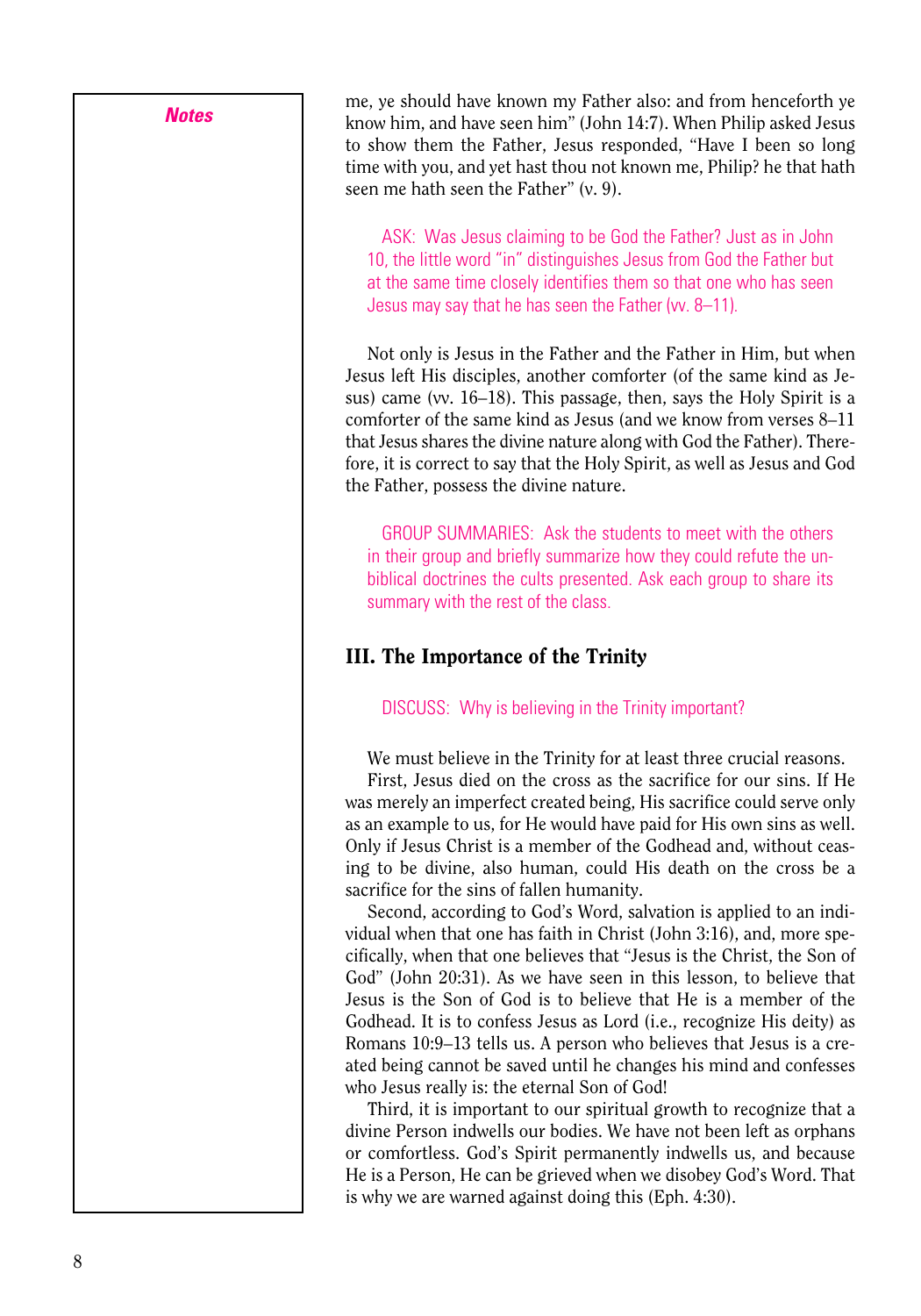*Notes* me, ye should have known my Father also: and from henceforth ye **Notes** know him, and have seen him" (John 14:7). When Philip asked Jesus to show them the Father, Jesus responded, "Have I been so long time with you, and yet hast thou not known me, Philip? he that hath seen me hath seen the Father" (v. 9).

> ASK: Was Jesus claiming to be God the Father? Just as in John 10, the little word "in" distinguishes Jesus from God the Father but at the same time closely identifies them so that one who has seen Jesus may say that he has seen the Father (vv. 8–11).

Not only is Jesus in the Father and the Father in Him, but when Jesus left His disciples, another comforter (of the same kind as Jesus) came (vv. 16–18). This passage, then, says the Holy Spirit is a comforter of the same kind as Jesus (and we know from verses 8–11 that Jesus shares the divine nature along with God the Father). Therefore, it is correct to say that the Holy Spirit, as well as Jesus and God the Father, possess the divine nature.

GROUP SUMMARIES: Ask the students to meet with the others in their group and briefly summarize how they could refute the unbiblical doctrines the cults presented. Ask each group to share its summary with the rest of the class.

# III. The Importance of the Trinity

DISCUSS: Why is believing in the Trinity important?

We must believe in the Trinity for at least three crucial reasons.

First, Jesus died on the cross as the sacrifice for our sins. If He was merely an imperfect created being, His sacrifice could serve only as an example to us, for He would have paid for His own sins as well. Only if Jesus Christ is a member of the Godhead and, without ceasing to be divine, also human, could His death on the cross be a sacrifice for the sins of fallen humanity.

Second, according to God's Word, salvation is applied to an individual when that one has faith in Christ (John 3:16), and, more specifically, when that one believes that "Jesus is the Christ, the Son of God" (John 20:31). As we have seen in this lesson, to believe that Jesus is the Son of God is to believe that He is a member of the Godhead. It is to confess Jesus as Lord (i.e., recognize His deity) as Romans 10:9–13 tells us. A person who believes that Jesus is a created being cannot be saved until he changes his mind and confesses who Jesus really is: the eternal Son of God!

Third, it is important to our spiritual growth to recognize that a divine Person indwells our bodies. We have not been left as orphans or comfortless. God's Spirit permanently indwells us, and because He is a Person, He can be grieved when we disobey God's Word. That is why we are warned against doing this (Eph. 4:30).